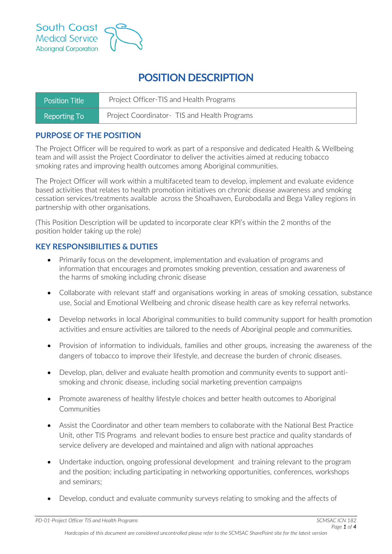

# **POSITION DESCRIPTION**

| Position Title | Project Officer-TIS and Health Programs       |
|----------------|-----------------------------------------------|
| Reporting To   | Project Coordinator - TIS and Health Programs |

## **PURPOSE OF THE POSITION**

The Project Officer will be required to work as part of a responsive and dedicated Health & Wellbeing team and will assist the Project Coordinator to deliver the activities aimed at reducing tobacco smoking rates and improving health outcomes among Aboriginal communities.

The Project Officer will work within a multifaceted team to develop, implement and evaluate evidence based activities that relates to health promotion initiatives on chronic disease awareness and smoking cessation services/treatments available across the Shoalhaven, Eurobodalla and Bega Valley regions in partnership with other organisations.

(This Position Description will be updated to incorporate clear KPI's within the 2 months of the position holder taking up the role)

### **KEY RESPONSIBILITIES & DUTIES**

- Primarily focus on the development, implementation and evaluation of programs and information that encourages and promotes smoking prevention, cessation and awareness of the harms of smoking including chronic disease
- Collaborate with relevant staff and organisations working in areas of smoking cessation, substance use, Social and Emotional Wellbeing and chronic disease health care as key referral networks.
- Develop networks in local Aboriginal communities to build community support for health promotion activities and ensure activities are tailored to the needs of Aboriginal people and communities.
- Provision of information to individuals, families and other groups, increasing the awareness of the dangers of tobacco to improve their lifestyle, and decrease the burden of chronic diseases.
- Develop, plan, deliver and evaluate health promotion and community events to support antismoking and chronic disease, including social marketing prevention campaigns
- Promote awareness of healthy lifestyle choices and better health outcomes to Aboriginal Communities
- Assist the Coordinator and other team members to collaborate with the National Best Practice Unit, other TIS Programs and relevant bodies to ensure best practice and quality standards of service delivery are developed and maintained and align with national approaches
- Undertake induction, ongoing professional development and training relevant to the program and the position; including participating in networking opportunities, conferences, workshops and seminars;
- Develop, conduct and evaluate community surveys relating to smoking and the affects of

*PD-01-Project Officer TIS and Health Programs SCMSAC ICN 182*

*Hardcopies of this document are considered uncontrolled please refer to the SCMSAC SharePoint site for the latest version*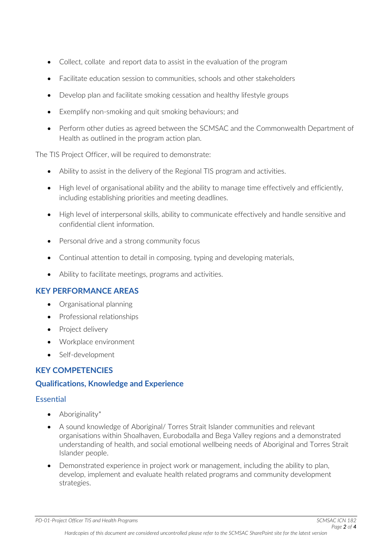- Collect, collate and report data to assist in the evaluation of the program
- Facilitate education session to communities, schools and other stakeholders
- Develop plan and facilitate smoking cessation and healthy lifestyle groups
- Exemplify non-smoking and quit smoking behaviours; and
- Perform other duties as agreed between the SCMSAC and the Commonwealth Department of Health as outlined in the program action plan.

The TIS Project Officer, will be required to demonstrate:

- Ability to assist in the delivery of the Regional TIS program and activities.
- High level of organisational ability and the ability to manage time effectively and efficiently, including establishing priorities and meeting deadlines.
- High level of interpersonal skills, ability to communicate effectively and handle sensitive and confidential client information.
- Personal drive and a strong community focus
- Continual attention to detail in composing, typing and developing materials,
- Ability to facilitate meetings, programs and activities.

### **KEY PERFORMANCE AREAS**

- Organisational planning
- Professional relationships
- Project delivery
- Workplace environment
- Self-development

# **KEY COMPETENCIES**

### **Qualifications, Knowledge and Experience**

### Essential

- Aboriginality\*
- A sound knowledge of Aboriginal/ Torres Strait Islander communities and relevant organisations within Shoalhaven, Eurobodalla and Bega Valley regions and a demonstrated understanding of health, and social emotional wellbeing needs of Aboriginal and Torres Strait Islander people.
- Demonstrated experience in project work or management, including the ability to plan, develop, implement and evaluate health related programs and community development strategies.

*PD-01-Project Officer TIS and Health Programs SCMSAC ICN 182*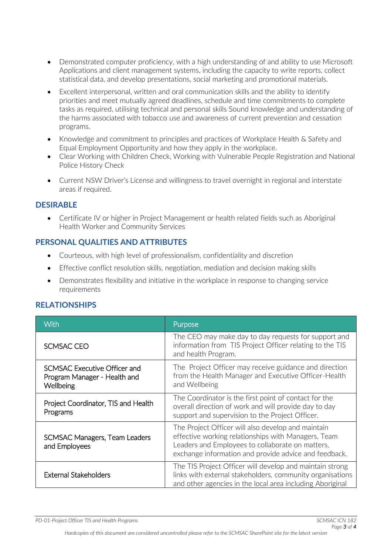- Demonstrated computer proficiency, with a high understanding of and ability to use Microsoft Applications and client management systems, including the capacity to write reports, collect statistical data, and develop presentations, social marketing and promotional materials.
- Excellent interpersonal, written and oral communication skills and the ability to identify priorities and meet mutually agreed deadlines, schedule and time commitments to complete tasks as required, utilising technical and personal skills Sound knowledge and understanding of the harms associated with tobacco use and awareness of current prevention and cessation programs.
- Knowledge and commitment to principles and practices of Workplace Health & Safety and Equal Employment Opportunity and how they apply in the workplace.
- Clear Working with Children Check, Working with Vulnerable People Registration and National Police History Check
- Current NSW Driver's License and willingness to travel overnight in regional and interstate areas if required.

#### **DESIRABLE**

• Certificate IV or higher in Project Management or health related fields such as Aboriginal Health Worker and Community Services

### **PERSONAL QUALITIES AND ATTRIBUTES**

- Courteous, with high level of professionalism, confidentiality and discretion
- Effective conflict resolution skills, negotiation, mediation and decision making skills
- Demonstrates flexibility and initiative in the workplace in response to changing service requirements

### **RELATIONSHIPS**

| With                                                                      | Purpose                                                                                                                                                                                                                |
|---------------------------------------------------------------------------|------------------------------------------------------------------------------------------------------------------------------------------------------------------------------------------------------------------------|
| SCMSAC CEO                                                                | The CEO may make day to day requests for support and<br>information from TIS Project Officer relating to the TIS<br>and health Program.                                                                                |
| SCMSAC Executive Officer and<br>Program Manager - Health and<br>Wellbeing | The Project Officer may receive guidance and direction<br>from the Health Manager and Executive Officer-Health<br>and Wellbeing                                                                                        |
| Project Coordinator, TIS and Health<br>Programs                           | The Coordinator is the first point of contact for the<br>overall direction of work and will provide day to day<br>support and supervision to the Project Officer.                                                      |
| SCMSAC Managers, Team Leaders<br>and Employees                            | The Project Officer will also develop and maintain<br>effective working relationships with Managers, Team<br>Leaders and Employees to collaborate on matters,<br>exchange information and provide advice and feedback. |
| <b>External Stakeholders</b>                                              | The TIS Project Officer will develop and maintain strong<br>links with external stakeholders, community organisations<br>and other agencies in the local area including Aboriginal                                     |

*PD-01-Project Officer TIS and Health Programs SCMSAC ICN 182*